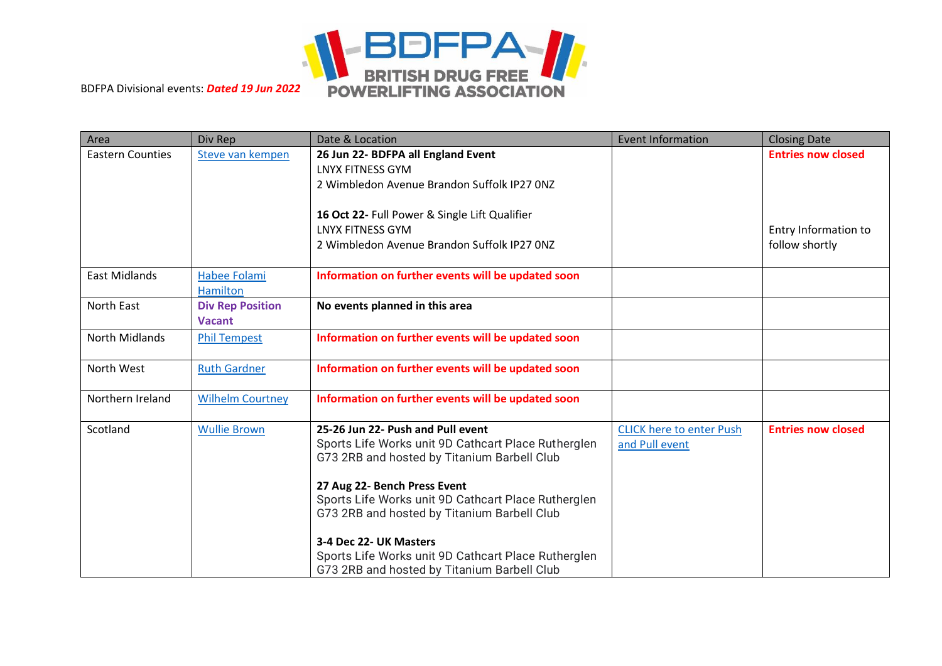

| Area                    | Div Rep                                  | Date & Location                                                        | <b>Event Information</b>        | <b>Closing Date</b>       |
|-------------------------|------------------------------------------|------------------------------------------------------------------------|---------------------------------|---------------------------|
| <b>Eastern Counties</b> | Steve van kempen                         | 26 Jun 22- BDFPA all England Event<br><b>LNYX FITNESS GYM</b>          |                                 | <b>Entries now closed</b> |
|                         |                                          | 2 Wimbledon Avenue Brandon Suffolk IP27 0NZ                            |                                 |                           |
|                         |                                          |                                                                        |                                 |                           |
|                         |                                          | 16 Oct 22- Full Power & Single Lift Qualifier                          |                                 |                           |
|                         |                                          | <b>LNYX FITNESS GYM</b><br>2 Wimbledon Avenue Brandon Suffolk IP27 ONZ |                                 | Entry Information to      |
|                         |                                          |                                                                        |                                 | follow shortly            |
| <b>East Midlands</b>    | Habee Folami                             | Information on further events will be updated soon                     |                                 |                           |
|                         | <b>Hamilton</b>                          |                                                                        |                                 |                           |
| North East              | <b>Div Rep Position</b><br><b>Vacant</b> | No events planned in this area                                         |                                 |                           |
| <b>North Midlands</b>   | <b>Phil Tempest</b>                      | Information on further events will be updated soon                     |                                 |                           |
| North West              | <b>Ruth Gardner</b>                      | Information on further events will be updated soon                     |                                 |                           |
| Northern Ireland        | <b>Wilhelm Courtney</b>                  | Information on further events will be updated soon                     |                                 |                           |
| Scotland                | <b>Wullie Brown</b>                      | 25-26 Jun 22- Push and Pull event                                      | <b>CLICK here to enter Push</b> | <b>Entries now closed</b> |
|                         |                                          | Sports Life Works unit 9D Cathcart Place Rutherglen                    | and Pull event                  |                           |
|                         |                                          | G73 2RB and hosted by Titanium Barbell Club                            |                                 |                           |
|                         |                                          | 27 Aug 22- Bench Press Event                                           |                                 |                           |
|                         |                                          | Sports Life Works unit 9D Cathcart Place Rutherglen                    |                                 |                           |
|                         |                                          | G73 2RB and hosted by Titanium Barbell Club                            |                                 |                           |
|                         |                                          | 3-4 Dec 22- UK Masters                                                 |                                 |                           |
|                         |                                          | Sports Life Works unit 9D Cathcart Place Rutherglen                    |                                 |                           |
|                         |                                          | G73 2RB and hosted by Titanium Barbell Club                            |                                 |                           |